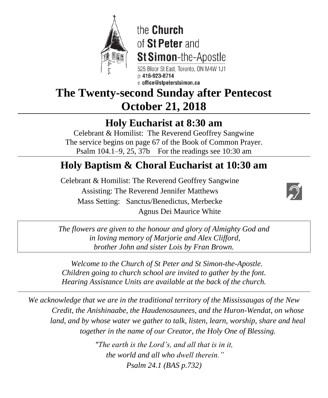

the Church of St Peter and **St Simon-the-Apostle** 525 Bloor St East, Toronto, ON M4W 1J1

 $D: 416 - 923 - 8714$ e: office@stpeterstsimon.ca

# **The Twenty-second Sunday after Pentecost October 21, 2018**

## **Holy Eucharist at 8:30 am**

Celebrant & Homilist: The Reverend Geoffrey Sangwine The service begins on page 67 of the Book of Common Prayer. Psalm 104.1–9, 25, 37b For the readings see 10:30 am

# **Holy Baptism & Choral Eucharist at 10:30 am**

Celebrant & Homilist: The Reverend Geoffrey Sangwine Assisting: The Reverend Jennifer Matthews Mass Setting: Sanctus/Benedictus, Merbecke Agnus Dei Maurice White



*The flowers are given to the honour and glory of Almighty God and in loving memory of Marjorie and Alex Clifford, brother John and sister Lois by Fran Brown.*

 *Welcome to the Church of St Peter and St Simon-the-Apostle. Children going to church school are invited to gather by the font. Hearing Assistance Units are available at the back of the church.*

*We acknowledge that we are in the traditional territory of the Mississaugas of the New Credit, the Anishinaabe, the Haudenosaunees, and the Huron-Wendat, on whose land, and by whose water we gather to talk, listen, learn, worship, share and heal together in the name of our Creator, the Holy One of Blessing.*

> *"The earth is the Lord's, and all that is in it, the world and all who dwell therein." Psalm 24.1 (BAS p.732)*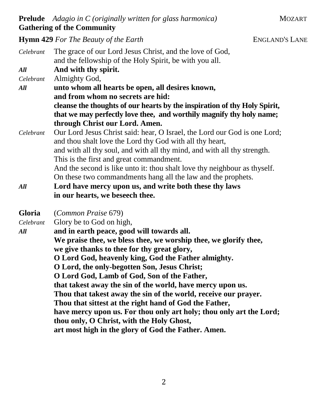### **Prelude** *Adagio in C (originally written for glass harmonica)* MOZART **Gathering of the Community**

**Hymn 429** For The Beauty of the Earth England ENGLAND'S LANE

| Celebrant<br>All<br>Celebrant<br>All | The grace of our Lord Jesus Christ, and the love of God,<br>and the fellowship of the Holy Spirit, be with you all.<br>And with thy spirit.<br>Almighty God,<br>unto whom all hearts be open, all desires known,<br>and from whom no secrets are hid:<br>cleanse the thoughts of our hearts by the inspiration of thy Holy Spirit,<br>that we may perfectly love thee, and worthily magnify thy holy name;                                                                                                                                                                                                                                                                                                                                   |
|--------------------------------------|----------------------------------------------------------------------------------------------------------------------------------------------------------------------------------------------------------------------------------------------------------------------------------------------------------------------------------------------------------------------------------------------------------------------------------------------------------------------------------------------------------------------------------------------------------------------------------------------------------------------------------------------------------------------------------------------------------------------------------------------|
| Celebrant                            | through Christ our Lord. Amen.<br>Our Lord Jesus Christ said: hear, O Israel, the Lord our God is one Lord;<br>and thou shalt love the Lord thy God with all thy heart,<br>and with all thy soul, and with all thy mind, and with all thy strength.<br>This is the first and great commandment.<br>And the second is like unto it: thou shalt love thy neighbour as thyself.<br>On these two commandments hang all the law and the prophets.                                                                                                                                                                                                                                                                                                 |
| All                                  | Lord have mercy upon us, and write both these thy laws<br>in our hearts, we beseech thee.                                                                                                                                                                                                                                                                                                                                                                                                                                                                                                                                                                                                                                                    |
| Gloria<br>Celebrant<br>All           | (Common Praise 679)<br>Glory be to God on high,<br>and in earth peace, good will towards all.<br>We praise thee, we bless thee, we worship thee, we glorify thee,<br>we give thanks to thee for thy great glory,<br>O Lord God, heavenly king, God the Father almighty.<br>O Lord, the only-begotten Son, Jesus Christ;<br>O Lord God, Lamb of God, Son of the Father,<br>that takest away the sin of the world, have mercy upon us.<br>Thou that takest away the sin of the world, receive our prayer.<br>Thou that sittest at the right hand of God the Father,<br>have mercy upon us. For thou only art holy; thou only art the Lord;<br>thou only, O Christ, with the Holy Ghost,<br>art most high in the glory of God the Father. Amen. |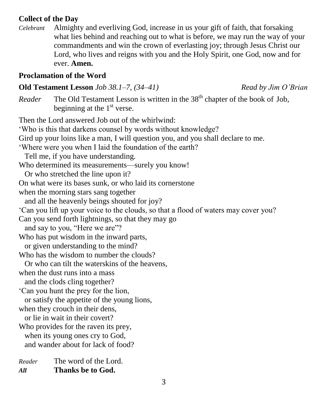#### **Collect of the Day**

*Celebrant* Almighty and everliving God, increase in us your gift of faith, that forsaking what lies behind and reaching out to what is before, we may run the way of your commandments and win the crown of everlasting joy; through Jesus Christ our Lord, who lives and reigns with you and the Holy Spirit, one God, now and for ever. **Amen.**

#### **Proclamation of the Word**

**Old Testament Lesson** *Job 38.1–7, (34–41)**Read by Jim O'Brian Reader* The Old Testament Lesson is written in the 38<sup>th</sup> chapter of the book of Job, beginning at the  $1<sup>st</sup>$  verse. Then the Lord answered Job out of the whirlwind: 'Who is this that darkens counsel by words without knowledge? Gird up your loins like a man, I will question you, and you shall declare to me. 'Where were you when I laid the foundation of the earth? Tell me, if you have understanding. Who determined its measurements—surely you know! Or who stretched the line upon it? On what were its bases sunk, or who laid its cornerstone when the morning stars sang together and all the heavenly beings shouted for joy? 'Can you lift up your voice to the clouds, so that a flood of waters may cover you? Can you send forth lightnings, so that they may go and say to you, "Here we are"? Who has put wisdom in the inward parts, or given understanding to the mind? Who has the wisdom to number the clouds? Or who can tilt the waterskins of the heavens, when the dust runs into a mass and the clods cling together? 'Can you hunt the prey for the lion, or satisfy the appetite of the young lions, when they crouch in their dens, or lie in wait in their covert? Who provides for the raven its prey, when its young ones cry to God, and wander about for lack of food? *Reader* The word of the Lord.

*All* **Thanks be to God.**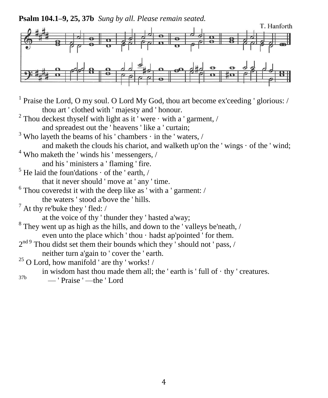**Psalm 104.1–9, 25, 37b** *Sung by all. Please remain seated.*



- <sup>1</sup> Praise the Lord, O my soul. O Lord My God, thou art become ex'ceeding ' glorious: / thou art ' clothed with ' majesty and ' honour.
- <sup>2</sup> Thou deckest thyself with light as it ' were  $\cdot$  with a ' garment, / and spreadest out the ' heavens ' like a ' curtain;
- $3$  Who layeth the beams of his ' chambers  $\cdot$  in the ' waters, / and maketh the clouds his chariot, and walketh up'on the 'wings  $\cdot$  of the 'wind;
- $4$  Who maketh the ' winds his ' messengers,  $\frac{1}{2}$ 
	- and his ' ministers a ' flaming ' fire.
- $<sup>5</sup>$  He laid the foun'dations  $\cdot$  of the ' earth, /</sup>
	- that it never should ' move at ' any ' time.
- $6$  Thou coveredst it with the deep like as 'with a ' garment: / the waters ' stood a'bove the ' hills.
- $^7$  At thy re'buke they ' fled: /
	- at the voice of thy ' thunder they ' hasted a'way;
- <sup>8</sup> They went up as high as the hills, and down to the 'valleys be'neath, / even unto the place which ' thou · hadst ap'pointed ' for them.
- 2<sup>nd 9</sup> Thou didst set them their bounds which they 'should not 'pass, / neither turn a'gain to ' cover the ' earth.
- $25$  O Lord, how manifold ' are thy ' works! /
	- in wisdom hast thou made them all; the 'earth is ' full of  $\cdot$  thy ' creatures.
- $37b$  'Praise '—the 'Lord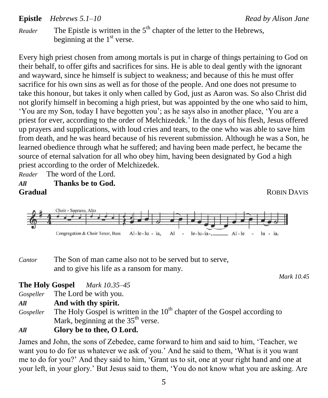#### **Epistle** *Hebrews 5.1–10* **Read by Alison Jane Read by Alison Jane**

*Reader* The Epistle is written in the 5<sup>th</sup> chapter of the letter to the Hebrews, beginning at the  $1<sup>st</sup>$  verse.

Every high priest chosen from among mortals is put in charge of things pertaining to God on their behalf, to offer gifts and sacrifices for sins. He is able to deal gently with the ignorant and wayward, since he himself is subject to weakness; and because of this he must offer sacrifice for his own sins as well as for those of the people. And one does not presume to take this honour, but takes it only when called by God, just as Aaron was. So also Christ did not glorify himself in becoming a high priest, but was appointed by the one who said to him, 'You are my Son, today I have begotten you'; as he says also in another place, 'You are a priest for ever, according to the order of Melchizedek.' In the days of his flesh, Jesus offered up prayers and supplications, with loud cries and tears, to the one who was able to save him from death, and he was heard because of his reverent submission. Although he was a Son, he learned obedience through what he suffered; and having been made perfect, he became the source of eternal salvation for all who obey him, having been designated by God a high priest according to the order of Melchizedek.

*Reader* The word of the Lord.

*All* **Thanks be to God. Gradual** ROBIN DAVIS



*Cantor* The Son of man came also not to be served but to serve, and to give his life as a ransom for many.

*Mark 10.45*

#### **The Holy Gospel** *Mark 10.35–45*

*Gospeller* The Lord be with you.

- *All* **And with thy spirit.**
- *Gospeller* The Holy Gospel is written in the 10<sup>th</sup> chapter of the Gospel according to Mark, beginning at the  $35<sup>th</sup>$  verse.

#### *All* **Glory be to thee, O Lord.**

James and John, the sons of Zebedee, came forward to him and said to him, 'Teacher, we want you to do for us whatever we ask of you.' And he said to them, 'What is it you want me to do for you?' And they said to him, 'Grant us to sit, one at your right hand and one at your left, in your glory.' But Jesus said to them, 'You do not know what you are asking. Are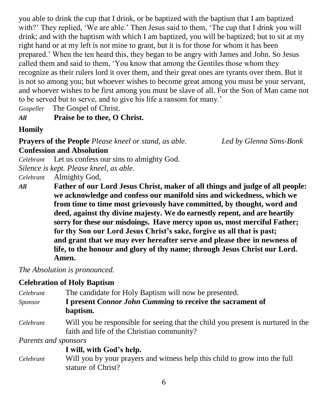you able to drink the cup that I drink, or be baptized with the baptism that I am baptized with?' They replied, 'We are able.' Then Jesus said to them, 'The cup that I drink you will drink; and with the baptism with which I am baptized, you will be baptized; but to sit at my right hand or at my left is not mine to grant, but it is for those for whom it has been prepared.' When the ten heard this, they began to be angry with James and John. So Jesus called them and said to them, 'You know that among the Gentiles those whom they recognize as their rulers lord it over them, and their great ones are tyrants over them. But it is not so among you; but whoever wishes to become great among you must be your servant, and whoever wishes to be first among you must be slave of all. For the Son of Man came not to be served but to serve, and to give his life a ransom for many.'

*Gospeller* The Gospel of Christ.

### *All* **Praise be to thee, O Christ.**

## **Homily**

## **Prayers of the People** *Please kneel or stand, as able. Led by Glenna Sims-Bonk* **Confession and Absolution**

*Celebrant* Let us confess our sins to almighty God. *Silence is kept. Please kneel, as able. Celebrant* Almighty God,

*All* **Father of our Lord Jesus Christ, maker of all things and judge of all people: we acknowledge and confess our manifold sins and wickedness, which we from time to time most grievously have committed, by thought, word and deed, against thy divine majesty. We do earnestly repent, and are heartily sorry for these our misdoings. Have mercy upon us, most merciful Father; for thy Son our Lord Jesus Christ's sake, forgive us all that is past; and grant that we may ever hereafter serve and please thee in newness of life, to the honour and glory of thy name; through Jesus Christ our Lord. Amen.**

*The Absolution is pronounced.*

## **Celebration of Holy Baptism**

- *Celebrant* The candidate for Holy Baptism will now be presented. *Sponsor* **I present** *Connor John Cumming* **to receive the sacrament of baptism.** *Celebrant* Will you be responsible for seeing that the child you present is nurtured in the faith and life of the Christian community? *Parents and sponsors* **I will, with God's help.**
- *Celebrant* Will you by your prayers and witness help this child to grow into the full stature of Christ?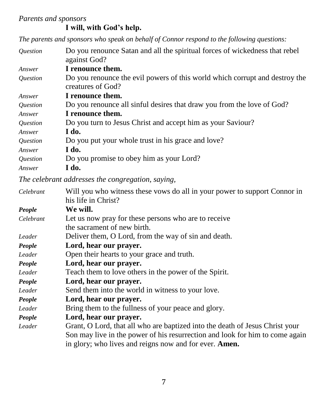### *Parents and sponsors*

## **I will, with God's help.**

*The parents and sponsors who speak on behalf of Connor respond to the following questions:*

| Question                      | Do you renounce Satan and all the spiritual forces of wickedness that rebel                      |
|-------------------------------|--------------------------------------------------------------------------------------------------|
|                               | against God?                                                                                     |
| Answer                        | I renounce them.                                                                                 |
| <i><u><b>Ouestion</b></u></i> | Do you renounce the evil powers of this world which corrupt and destroy the<br>creatures of God? |
| Answer                        | I renounce them.                                                                                 |
| Question                      | Do you renounce all sinful desires that draw you from the love of God?                           |
| Answer                        | I renounce them.                                                                                 |
| Question                      | Do you turn to Jesus Christ and accept him as your Saviour?                                      |
| Answer                        | I do.                                                                                            |
| Question                      | Do you put your whole trust in his grace and love?                                               |
| Answer                        | I do.                                                                                            |
| <i><u><b>Ouestion</b></u></i> | Do you promise to obey him as your Lord?                                                         |
| Answer                        | I do.                                                                                            |

*The celebrant addresses the congregation, saying,*

| Celebrant | Will you who witness these vows do all in your power to support Connor in    |
|-----------|------------------------------------------------------------------------------|
|           | his life in Christ?                                                          |
| People    | We will.                                                                     |
| Celebrant | Let us now pray for these persons who are to receive                         |
|           | the sacrament of new birth.                                                  |
| Leader    | Deliver them, O Lord, from the way of sin and death.                         |
| People    | Lord, hear our prayer.                                                       |
| Leader    | Open their hearts to your grace and truth.                                   |
| People    | Lord, hear our prayer.                                                       |
| Leader    | Teach them to love others in the power of the Spirit.                        |
| People    | Lord, hear our prayer.                                                       |
| Leader    | Send them into the world in witness to your love.                            |
| People    | Lord, hear our prayer.                                                       |
| Leader    | Bring them to the fullness of your peace and glory.                          |
| People    | Lord, hear our prayer.                                                       |
| Leader    | Grant, O Lord, that all who are baptized into the death of Jesus Christ your |
|           | Son may live in the power of his resurrection and look for him to come again |
|           | in glory; who lives and reigns now and for ever. <b>Amen.</b>                |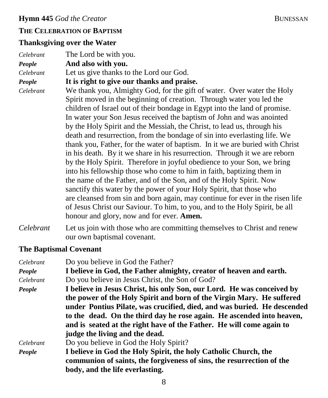## **THE CELEBRATION OF BAPTISM**

## **Thanksgiving over the Water**

| Celebrant | The Lord be with you.                                                                                                                                                                                                                                                                                                          |
|-----------|--------------------------------------------------------------------------------------------------------------------------------------------------------------------------------------------------------------------------------------------------------------------------------------------------------------------------------|
| People    | And also with you.                                                                                                                                                                                                                                                                                                             |
| Celebrant | Let us give thanks to the Lord our God.                                                                                                                                                                                                                                                                                        |
| People    | It is right to give our thanks and praise.                                                                                                                                                                                                                                                                                     |
| Celebrant | We thank you, Almighty God, for the gift of water. Over water the Holy                                                                                                                                                                                                                                                         |
|           | Spirit moved in the beginning of creation. Through water you led the                                                                                                                                                                                                                                                           |
|           | children of Israel out of their bondage in Egypt into the land of promise.                                                                                                                                                                                                                                                     |
|           | In water your Son Jesus received the baptism of John and was anointed                                                                                                                                                                                                                                                          |
|           | by the Holy Spirit and the Messiah, the Christ, to lead us, through his                                                                                                                                                                                                                                                        |
|           | death and resurrection, from the bondage of sin into everlasting life. We                                                                                                                                                                                                                                                      |
|           | thank you, Father, for the water of baptism. In it we are buried with Christ                                                                                                                                                                                                                                                   |
|           | in his death. By it we share in his resurrection. Through it we are reborn                                                                                                                                                                                                                                                     |
|           | by the Holy Spirit. Therefore in joyful obedience to your Son, we bring                                                                                                                                                                                                                                                        |
|           | into his fellowship those who come to him in faith, baptizing them in                                                                                                                                                                                                                                                          |
|           | the name of the Father, and of the Son, and of the Holy Spirit. Now                                                                                                                                                                                                                                                            |
|           | sanctify this water by the power of your Holy Spirit, that those who                                                                                                                                                                                                                                                           |
|           | are cleansed from sin and born again, may continue for ever in the risen life                                                                                                                                                                                                                                                  |
|           | of Jesus Christ our Saviour. To him, to you, and to the Holy Spirit, be all                                                                                                                                                                                                                                                    |
|           | honour and glory, now and for ever. <b>Amen.</b>                                                                                                                                                                                                                                                                               |
|           | $\alpha$ , $\beta$ , $\beta$ , $\beta$ , $\beta$ , $\beta$ , $\beta$ , $\beta$ , $\beta$ , $\beta$ , $\beta$ , $\beta$ , $\beta$ , $\beta$ , $\beta$ , $\beta$ , $\beta$ , $\beta$ , $\beta$ , $\beta$ , $\beta$ , $\beta$ , $\beta$ , $\beta$ , $\beta$ , $\beta$ , $\beta$ , $\beta$ , $\beta$ , $\beta$ , $\beta$ , $\beta$ |

*Celebrant* Let us join with those who are committing themselves to Christ and renew our own baptismal covenant.

## **The Baptismal Covenant**

| Celebrant | Do you believe in God the Father?                                                                                                                                                                                                                                                                                                   |
|-----------|-------------------------------------------------------------------------------------------------------------------------------------------------------------------------------------------------------------------------------------------------------------------------------------------------------------------------------------|
| People    | I believe in God, the Father almighty, creator of heaven and earth.                                                                                                                                                                                                                                                                 |
| Celebrant | Do you believe in Jesus Christ, the Son of God?                                                                                                                                                                                                                                                                                     |
| People    | I believe in Jesus Christ, his only Son, our Lord. He was conceived by                                                                                                                                                                                                                                                              |
|           | the power of the Holy Spirit and born of the Virgin Mary. He suffered<br>under Pontius Pilate, was crucified, died, and was buried. He descended<br>to the dead. On the third day he rose again. He ascended into heaven,<br>and is seated at the right have of the Father. He will come again to<br>judge the living and the dead. |
| Celebrant | Do you believe in God the Holy Spirit?                                                                                                                                                                                                                                                                                              |
| People    | I believe in God the Holy Spirit, the holy Catholic Church, the                                                                                                                                                                                                                                                                     |
|           | communion of saints, the forgiveness of sins, the resurrection of the                                                                                                                                                                                                                                                               |
|           | body, and the life everlasting.                                                                                                                                                                                                                                                                                                     |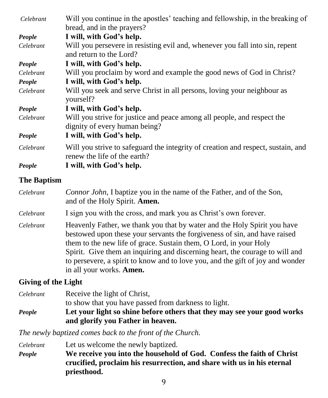| Celebrant                 | Will you continue in the apostles' teaching and fellowship, in the breaking of                                   |
|---------------------------|------------------------------------------------------------------------------------------------------------------|
|                           | bread, and in the prayers?                                                                                       |
| People                    | I will, with God's help.                                                                                         |
| Celebrant                 | Will you persevere in resisting evil and, whenever you fall into sin, repent                                     |
|                           | and return to the Lord?                                                                                          |
| People                    | I will, with God's help.                                                                                         |
| Celebrant                 | Will you proclaim by word and example the good news of God in Christ?                                            |
| People                    | I will, with God's help.                                                                                         |
| Celebrant                 | Will you seek and serve Christ in all persons, loving your neighbour as<br>yourself?                             |
| People                    | I will, with God's help.                                                                                         |
| Celebrant                 | Will you strive for justice and peace among all people, and respect the<br>dignity of every human being?         |
| People                    | I will, with God's help.                                                                                         |
| Celebrant                 | Will you strive to safeguard the integrity of creation and respect, sustain, and<br>renew the life of the earth? |
| People                    | I will, with God's help.                                                                                         |
| $\mathbf{m}$ $\mathbf{r}$ |                                                                                                                  |

#### **The Baptism**

| Celebrant | <i>Connor John</i> , I baptize you in the name of the Father, and of the Son,<br>and of the Holy Spirit. Amen.                                                                                                                                                                                                                                                                               |
|-----------|----------------------------------------------------------------------------------------------------------------------------------------------------------------------------------------------------------------------------------------------------------------------------------------------------------------------------------------------------------------------------------------------|
| Celebrant | I sign you with the cross, and mark you as Christ's own forever.                                                                                                                                                                                                                                                                                                                             |
| Celebrant | Heavenly Father, we thank you that by water and the Holy Spirit you have<br>bestowed upon these your servants the forgiveness of sin, and have raised<br>them to the new life of grace. Sustain them, O Lord, in your Holy<br>Spirit. Give them an inquiring and discerning heart, the courage to will and<br>to persevere, a spirit to know and to love you, and the gift of joy and wonder |

## **Giving of the Light**

| Celebrant | Receive the light of Christ,                                            |
|-----------|-------------------------------------------------------------------------|
|           | to show that you have passed from darkness to light.                    |
| People    | Let your light so shine before others that they may see your good works |
|           | and glorify you Father in heaven.                                       |
|           |                                                                         |

*The newly baptized comes back to the front of the Church.*

in all your works. **Amen.**

*Celebrant* Let us welcome the newly baptized. *People* **We receive you into the household of God. Confess the faith of Christ crucified, proclaim his resurrection, and share with us in his eternal priesthood.**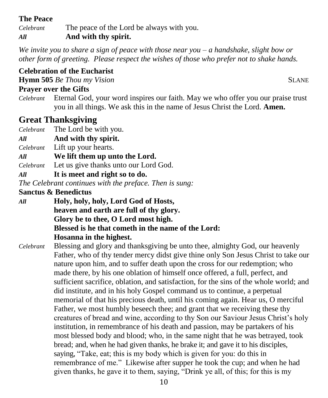#### **The Peace**

*Celebrant* The peace of the Lord be always with you. *All* **And with thy spirit.**

*We invite you to share a sign of peace with those near you – a handshake, slight bow or other form of greeting. Please respect the wishes of those who prefer not to shake hands.*

#### **Celebration of the Eucharist**

**Hymn 505** *Be Thou my Vision* **SLANE** 

#### **Prayer over the Gifts**

*Celebrant* Eternal God, your word inspires our faith. May we who offer you our praise trust you in all things. We ask this in the name of Jesus Christ the Lord. **Amen.**

## **Great Thanksgiving**

*Celebrant* The Lord be with you.

*All* **And with thy spirit.**

*Celebrant* Lift up your hearts.

- *All* **We lift them up unto the Lord.**
- *Celebrant* Let us give thanks unto our Lord God.
- *All* **It is meet and right so to do.**

*The Celebrant continues with the preface. Then is sung:*

#### **Sanctus & Benedictus**

- *All* **Holy, holy, holy, Lord God of Hosts, heaven and earth are full of thy glory. Glory be to thee, O Lord most high. Blessed is he that cometh in the name of the Lord: Hosanna in the highest.**
- *Celebrant* Blessing and glory and thanksgiving be unto thee, almighty God, our heavenly Father, who of thy tender mercy didst give thine only Son Jesus Christ to take our nature upon him, and to suffer death upon the cross for our redemption; who made there, by his one oblation of himself once offered, a full, perfect, and sufficient sacrifice, oblation, and satisfaction, for the sins of the whole world; and did institute, and in his holy Gospel command us to continue, a perpetual memorial of that his precious death, until his coming again. Hear us, O merciful Father, we most humbly beseech thee; and grant that we receiving these thy creatures of bread and wine, according to thy Son our Saviour Jesus Christ's holy institution, in remembrance of his death and passion, may be partakers of his most blessed body and blood; who, in the same night that he was betrayed, took bread; and, when he had given thanks, he brake it; and gave it to his disciples, saying, "Take, eat; this is my body which is given for you: do this in remembrance of me." Likewise after supper he took the cup; and when he had given thanks, he gave it to them, saying, "Drink ye all, of this; for this is my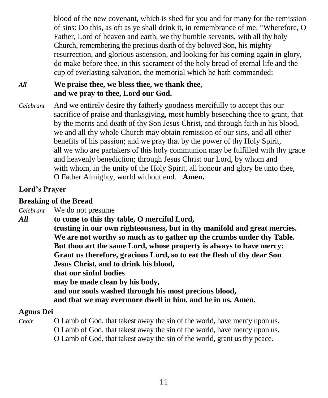blood of the new covenant, which is shed for you and for many for the remission of sins: Do this, as oft as ye shall drink it, in remembrance of me. "Wherefore, O Father, Lord of heaven and earth, we thy humble servants, with all thy holy Church, remembering the precious death of thy beloved Son, his mighty resurrection, and glorious ascension, and looking for his coming again in glory, do make before thee, in this sacrament of the holy bread of eternal life and the cup of everlasting salvation, the memorial which he hath commanded:

## *All* **We praise thee, we bless thee, we thank thee, and we pray to thee, Lord our God.**

*Celebrant* And we entirely desire thy fatherly goodness mercifully to accept this our sacrifice of praise and thanksgiving, most humbly beseeching thee to grant, that by the merits and death of thy Son Jesus Christ, and through faith in his blood, we and all thy whole Church may obtain remission of our sins, and all other benefits of his passion; and we pray that by the power of thy Holy Spirit, all we who are partakers of this holy communion may be fulfilled with thy grace and heavenly benediction; through Jesus Christ our Lord, by whom and with whom, in the unity of the Holy Spirit, all honour and glory be unto thee, O Father Almighty, world without end. **Amen.**

## **Lord's Prayer**

## **Breaking of the Bread**

*Celebrant* We do not presume

*All* **to come to this thy table, O merciful Lord, trusting in our own righteousness, but in thy manifold and great mercies. We are not worthy so much as to gather up the crumbs under thy Table.** 

**But thou art the same Lord, whose property is always to have mercy: Grant us therefore, gracious Lord, so to eat the flesh of thy dear Son Jesus Christ, and to drink his blood,** 

**that our sinful bodies** 

**may be made clean by his body,** 

**and our souls washed through his most precious blood, and that we may evermore dwell in him, and he in us. Amen.**

### **Agnus Dei**

*Choir* O Lamb of God, that takest away the sin of the world, have mercy upon us. O Lamb of God, that takest away the sin of the world, have mercy upon us. O Lamb of God, that takest away the sin of the world, grant us thy peace.